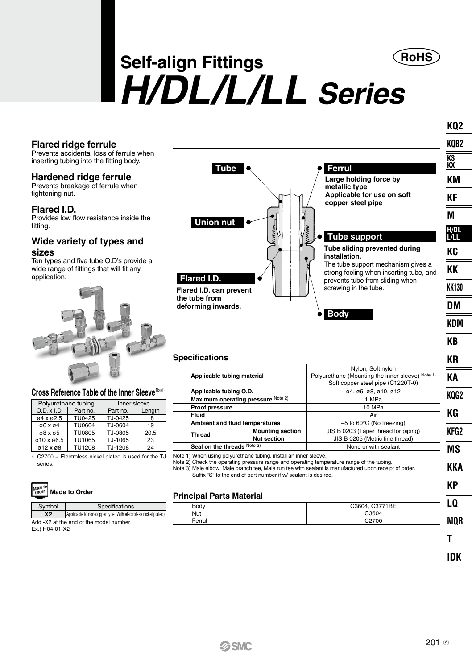

**KQ2 KQB2 KS KX KM KF M H/DL L/LL KC KK KK130 DM KDM KB KR KA KQG2 KG KFG2 MS KKA**

# **Self-align Fittings** *H/DL/L/LL Series*

#### **Flared ridge ferrule**

Prevents accidental loss of ferrule when inserting tubing into the fitting body.

#### **Hardened ridge ferrule**

Prevents breakage of ferrule when tightening nut.

#### **Flared I.D.**

Provides low flow resistance inside the fitting.

#### **Wide variety of types and sizes**

Ten types and five tube O.D's provide a wide range of fittings that will fit any application.



#### Cross Reference Table of the Inner Sleeve Note1)

| Polyurethane tubing |               | Inner sleeve |        |  |  |  |  |  |
|---------------------|---------------|--------------|--------|--|--|--|--|--|
| O.D. x I.D.         | Part no.      | Part no.     | Length |  |  |  |  |  |
| 04 x 02.5           | <b>TU0425</b> | TJ-0425      | 18     |  |  |  |  |  |
| 06 x 04             | <b>TU0604</b> | TJ-0604      | 19     |  |  |  |  |  |
| 08 x 05             | <b>TU0805</b> | TJ-0805      | 20.5   |  |  |  |  |  |
| ø10 x ø6.5          | <b>TU1065</b> | TJ-1065      | 23     |  |  |  |  |  |
| ø12 x ø8            | <b>TU1208</b> | TJ-1208      | 24     |  |  |  |  |  |

∗ C2700 + Electroless nickel plated is used for the TJ series.



| Symbol<br>Specifications |                                                                |  |  |  |  |  |  |  |  |  |
|--------------------------|----------------------------------------------------------------|--|--|--|--|--|--|--|--|--|
| <b>X2</b>                | Applicable to non-copper type (With electroless nickel plated) |  |  |  |  |  |  |  |  |  |
|                          | Add -X2 at the end of the model number.                        |  |  |  |  |  |  |  |  |  |
| $E_v$ ) $H$ 04-01-Y2     |                                                                |  |  |  |  |  |  |  |  |  |

Ex.) H04-01-X2



| opcomoanono                        |                         |                                                                                                            |  |  |  |  |  |
|------------------------------------|-------------------------|------------------------------------------------------------------------------------------------------------|--|--|--|--|--|
| Applicable tubing material         |                         | Nylon, Soft nylon<br>Polyurethane (Mounting the inner sleeve) Note 1)<br>Soft copper steel pipe (C1220T-0) |  |  |  |  |  |
| Applicable tubing O.D.             |                         | 04, 06, 08, 010, 012                                                                                       |  |  |  |  |  |
| Maximum operating pressure Note 2) |                         | 1 MPa                                                                                                      |  |  |  |  |  |
| Proof pressure                     |                         | 10 MPa                                                                                                     |  |  |  |  |  |
| Fluid                              |                         | Air                                                                                                        |  |  |  |  |  |
| Ambient and fluid temperatures     |                         | $-5$ to 60 $\degree$ C (No freezing)                                                                       |  |  |  |  |  |
| <b>Thread</b>                      | <b>Mounting section</b> | JIS B 0203 (Taper thread for piping)                                                                       |  |  |  |  |  |
|                                    | <b>Nut section</b>      | JIS B 0205 (Metric fine thread)                                                                            |  |  |  |  |  |
| Seal on the threads Note 3)        |                         | None or with sealant                                                                                       |  |  |  |  |  |
|                                    |                         |                                                                                                            |  |  |  |  |  |

Note 1) When using polyurethane tubing, install an inner sleeve.

Note 2) Check the operating pressure range and operating temperature range of the tubing. Note 3) Male elbow, Male branch tee, Male run tee with sealant is manufactured upon receipt of order. Suffix "S" to the end of part number if w/ sealant is desired.

#### **Principal Parts Material**

| $D \cap A$<br>buu | C3771BE |   |
|-------------------|---------|---|
| Nut               |         |   |
| Ferrui            | Ό       | I |
|                   |         |   |

**KP LQ MQR T IDK**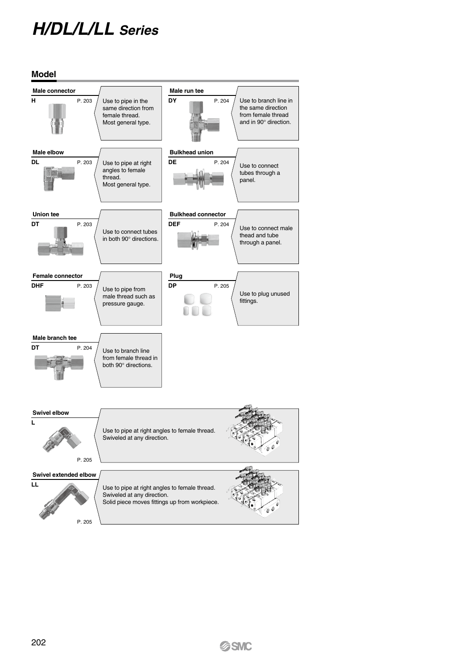# *H/DL/L/LL Series*

**Model Male connector Male run tee H** P. 203 Use to pipe in the **DY** P. 204 Use to branch line in the same direction same direction from from female thread female thread. and in 90° direction. Most general type. **Male elbow Bulkhead union DL** P. 203 **DE** P. 204 Use to pipe at right angles to female Use to connect tubes through a 閉關 thread. panel. Most general type. **Union tee Bulkhead connector DT** P. 203 **DEF** P. 204 Use to connect male Use to connect tubes thead and tube in both 90° directions. through a panel. **Female connector Plug DHF** P. 203 **DP** P. 205 Use to pipe from Use to plug unused male thread such as fittings. pressure gauge. **Male branch tee DT** P. 204 Use to branch line from female thread in both 90° directions. **Swivel elbow L** Use to pipe at right angles to female thread. Swiveled at any direction. 2 á P. 205 **Swivel extended elbow LL** Use to pipe at right angles to female thread. Swiveled at any direction. Solid piece moves fittings up from workpiece. P. 205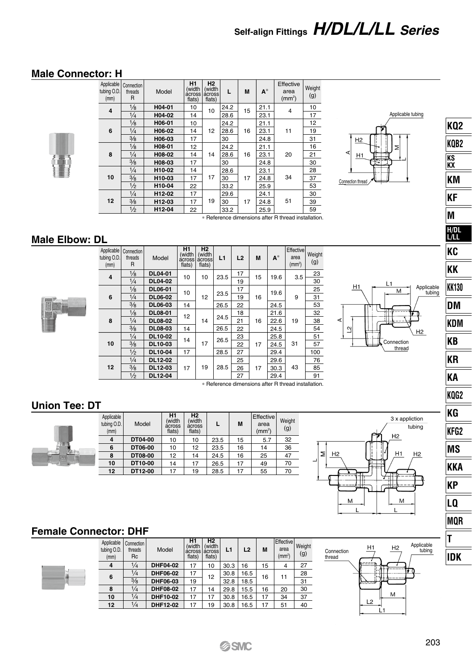# **Self-align Fittings** *H/DL/L/LL Series*

### **Male Connector: H**



| tubing O.D.<br>(mm) | Applicable Connection<br>threads<br>R | Model  | H1<br>(width<br>flats) | <b>H2</b><br>(width<br>across across<br>flats) | L    | M  | $A^*$ | Effective<br>area<br>(mm <sup>2</sup> ) | Weight<br>(g)        |
|---------------------|---------------------------------------|--------|------------------------|------------------------------------------------|------|----|-------|-----------------------------------------|----------------------|
| 4                   | $\frac{1}{8}$                         | H04-01 | 10                     | 10                                             | 24.2 | 15 | 21.1  | 4                                       | 10                   |
|                     | $\frac{1}{4}$                         | H04-02 | 14                     |                                                | 28.6 |    | 23.1  |                                         | 17                   |
|                     | $\frac{1}{8}$                         | H06-01 | 10                     |                                                | 24.2 |    | 21.1  |                                         | 12                   |
| 6                   | $\frac{1}{4}$                         | H06-02 | 14                     | 12                                             | 28.6 | 16 | 23.1  | 11                                      | 19                   |
|                     | $\frac{3}{8}$                         | H06-03 | 17                     | 30                                             |      |    | 24.8  |                                         | 31                   |
|                     | $\frac{1}{8}$                         | H08-01 | 12                     |                                                | 24.2 |    | 21.1  |                                         | 16                   |
| 8                   | $\frac{1}{4}$                         | H08-02 | 14                     | 14                                             | 28.6 | 16 | 23.1  | 20                                      | 21                   |
|                     | $\frac{3}{8}$                         | H08-03 | 17                     |                                                | 30   |    | 24.8  |                                         | 30                   |
|                     | $\frac{1}{4}$                         | H10-02 | 14                     |                                                | 28.6 |    | 23.1  |                                         | 28                   |
| 10                  | 3/8                                   | H10-03 | 17                     | 17                                             | 30   | 17 | 24.8  | 34                                      | 37                   |
|                     | $\frac{1}{2}$                         | H10-04 | 22                     |                                                | 33.2 |    | 25.9  |                                         | 53                   |
|                     | $\frac{1}{4}$                         | H12-02 | 17                     |                                                | 29.6 |    | 24.1  |                                         | 30                   |
| 12                  | $\frac{3}{8}$                         | H12-03 | 17                     | 19                                             | 30   | 17 | 24.8  | 51                                      | 39                   |
|                     | $\frac{1}{2}$                         | H12-04 | 22                     |                                                | 33.2 |    | 25.9  | - -<br>$\cdots$                         | 59<br>$-1$ $-1$ $-1$ |



∗ Reference dimensions after R thread installation.

#### **Male Elbow: DL**



| tubing O.D.<br>(mm) | Applicable Connection<br>threads<br>R | Model          | H1<br>(width<br>across<br>flats) | H2<br>(width<br>across<br>flats) | L1   | L2 | M    | $A^*$ | Effective<br>area<br>(mm <sup>2</sup> ) | Weight<br>(g) |
|---------------------|---------------------------------------|----------------|----------------------------------|----------------------------------|------|----|------|-------|-----------------------------------------|---------------|
| 4                   | $\frac{1}{8}$                         | <b>DL04-01</b> | 10                               | 10                               | 23.5 | 17 | 15   | 19.6  | 3.5                                     | 23            |
|                     | $\frac{1}{4}$                         | <b>DL04-02</b> |                                  |                                  |      | 19 |      |       |                                         | 30            |
|                     | $\frac{1}{8}$                         | <b>DL06-01</b> | 10                               |                                  | 23.5 | 17 |      | 19.6  | 9                                       | 25            |
| 6                   | $\frac{1}{4}$                         | <b>DL06-02</b> |                                  | 12                               |      | 19 | 16   |       |                                         | 31            |
|                     | $\frac{3}{8}$                         | <b>DL06-03</b> | 14                               | 26.5                             | 22   |    | 24.5 |       | 53                                      |               |
|                     | $\frac{1}{8}$<br><b>DL08-01</b>       |                | 12                               |                                  |      | 18 |      | 21.6  |                                         | 32            |
| 8                   | $\frac{1}{4}$                         | <b>DL08-02</b> |                                  | 14                               | 24.5 | 21 | 16   | 22.6  | 19                                      | 38            |
|                     | 3/8                                   | <b>DL08-03</b> | 14                               |                                  | 26.5 | 22 |      | 24.5  |                                         | 54            |
|                     | $\frac{1}{4}$                         | DL10-02        | 14                               |                                  | 26.5 | 23 |      | 25.8  |                                         | 51            |
| 10                  | 3/8                                   | DL10-03        |                                  | 17                               |      | 22 | 17   | 24.5  | 31                                      | 57            |
|                     | $\frac{1}{2}$                         | DL10-04        | 17                               |                                  | 28.5 | 27 |      | 29.4  |                                         | 100           |
|                     | $\frac{1}{4}$                         | DL12-02        |                                  |                                  |      | 25 |      | 29.6  | 43                                      | 76            |
| 12                  | 3/8                                   | DL12-03        | 17                               | 19                               | 28.5 | 26 | 17   | 30.3  |                                         | 85            |
|                     | $\frac{1}{2}$                         | DL12-04        |                                  |                                  |      | 27 |      | 29.4  |                                         | 91            |



∗ Reference dimensions after R thread installation.

### **Union Tee: DT**



| Applicable<br>tubing O.D.<br>(mm) | Model   | H1<br>(width<br>across<br>flats) | <b>H2</b><br>(width<br>across<br>flats) |      | М  | Effective<br>area<br>(mm <sup>2</sup> ) | Weight<br>(g) |
|-----------------------------------|---------|----------------------------------|-----------------------------------------|------|----|-----------------------------------------|---------------|
| 4                                 | DT04-00 | 10                               | 10                                      | 23.5 | 15 | 5.7                                     | 32            |
| 6                                 | DT06-00 | 10                               | 12                                      | 23.5 | 16 | 14                                      | 36            |
| 8                                 | DT08-00 | 12                               | 14                                      | 24.5 | 16 | 25                                      | 47            |
| 10                                | DT10-00 | 14                               | 17                                      | 26.5 | 17 | 49                                      | 70            |
| 12                                | DT12-00 | 17                               | 19                                      | 28.5 | 17 | 55                                      | 70            |



Connection  $\overrightarrow{12}$   $\overrightarrow{12}$  tubing

 $L<sub>2</sub>$ Ľ1 M.

## **Female Connector: DHF**

|  | Applicable<br>tubing O.D.<br>(mm) | Connection<br>threads<br><b>Rc</b> | Model           | H1<br>(width<br>across across<br>flats) | H <sub>2</sub><br>(width<br>flats) | L1   | L2   | M  | <b>Effective</b><br>area<br>(mm <sup>2</sup> ) | Weight<br>(g) |
|--|-----------------------------------|------------------------------------|-----------------|-----------------------------------------|------------------------------------|------|------|----|------------------------------------------------|---------------|
|  | $\overline{4}$                    | $\frac{1}{4}$                      | <b>DHF04-02</b> | 17                                      | 10                                 | 30.3 | 16   | 15 | 4                                              | 27            |
|  | 6                                 | $\frac{1}{4}$                      | DHF06-02        | 17                                      | 12                                 | 30.8 | 16.5 | 16 | 11                                             | 28            |
|  |                                   | $\frac{3}{8}$                      | DHF06-03        | 19                                      |                                    | 32.8 | 18.5 |    |                                                | 31            |
|  | 8                                 | $\frac{1}{4}$                      | <b>DHF08-02</b> | 17                                      | 14                                 | 29.8 | 15.5 | 16 | 20                                             | 30            |
|  | 10                                | $\frac{1}{4}$                      | DHF10-02        | 17                                      | 17                                 | 30.8 | 16.5 | 17 | 34                                             | 37            |
|  | 12                                | $\frac{1}{4}$                      | DHF12-02        | 17                                      | 19                                 | 30.8 | 16.5 | 17 | 51                                             | 40            |

| KQB2         |
|--------------|
| KS<br>KX     |
| ΚM           |
| ΚF           |
| M            |
| H/DL<br>L/LL |
| KC           |
| ΚK           |
| <b>KK130</b> |
| DM           |
| KDM          |
| KΒ           |
| ΚR           |
| KΑ           |
| KQG2         |
| KG           |
| KFG2         |
| MS           |
| KKA          |
| KP           |
| L0           |
| MQR          |
| Ī            |

**KQ2**

Applicable<br>tubing

**IDK**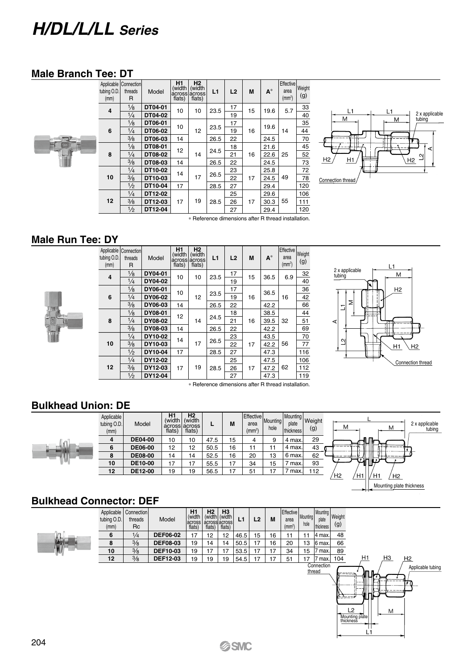# *H/DL/L/LL Series*

#### **Male Branch Tee: DT**



| tubing O.D.<br>(mm) | Applicable Connection<br>threads<br>R | Model   | H <sub>1</sub><br>(width<br>flats) | H <sub>2</sub><br>(width<br>across across<br>flats)               | L1   | L2 | M  | $A^*$ | Effective<br>area<br>(mm <sup>2</sup> ) | Weight<br>(g) |
|---------------------|---------------------------------------|---------|------------------------------------|-------------------------------------------------------------------|------|----|----|-------|-----------------------------------------|---------------|
| 4                   | $\frac{1}{8}$                         | DT04-01 | 10                                 | 10                                                                | 23.5 | 17 | 15 | 19.6  | 5.7                                     | 33            |
|                     | $\frac{1}{4}$                         | DT04-02 |                                    |                                                                   |      | 19 |    |       |                                         | 40            |
|                     | $\frac{1}{8}$                         | DT06-01 | 10                                 |                                                                   | 23.5 | 17 |    | 19.6  |                                         | 35            |
| 6                   | $\frac{1}{4}$                         | DT06-02 |                                    | 12                                                                |      | 19 | 16 |       | 14                                      | 44            |
|                     | $\frac{3}{8}$                         | DT06-03 | 14                                 |                                                                   | 26.5 | 22 |    | 24.5  |                                         | 70            |
|                     | $\frac{1}{8}$                         | DT08-01 | 12                                 | 14                                                                | 24.5 | 18 | 16 | 21.6  | 25                                      | 45            |
| 8                   | $\frac{1}{4}$                         | DT08-02 |                                    |                                                                   |      | 21 |    | 22.6  |                                         | 52            |
|                     | $\frac{3}{8}$                         | DT08-03 | 14                                 |                                                                   | 26.5 | 22 |    | 24.5  |                                         | 73            |
|                     | $\frac{1}{4}$                         | DT10-02 | 14                                 |                                                                   |      | 23 |    | 25.8  |                                         | 72            |
| 10                  | 3/8                                   | DT10-03 |                                    | 17                                                                | 26.5 | 22 | 17 | 24.5  | 49                                      | 78            |
|                     | $\frac{1}{2}$                         | DT10-04 | 17                                 |                                                                   | 28.5 | 27 |    | 29.4  |                                         | 120           |
|                     | $\frac{1}{4}$                         | DT12-02 |                                    |                                                                   |      | 25 |    | 29.6  |                                         | 106           |
| 12                  | $\frac{3}{8}$                         | DT12-03 | 17                                 | 19                                                                | 28.5 | 26 | 17 | 30.3  | 55                                      | 111           |
|                     | $\frac{1}{2}$                         | DT12-04 |                                    |                                                                   |      | 27 |    | 29.4  |                                         | 120           |
|                     |                                       |         |                                    | a. Distances en alimentales estas el Distance di locali llettere. |      |    |    |       |                                         |               |



∗ Reference dimensions after R thread installation.

#### **Male Run Tee: DY**



| tubing O.D.<br>(mm) | Applicable Connection<br>threads<br>R | Model   | H <sub>1</sub><br>(width<br>flats) | H <sub>2</sub><br>(width<br>across across<br>flats) | L1   | L2 | M  | $A^*$ | Effective<br>area<br>(mm <sup>2</sup> ) | Weight<br>(g) |
|---------------------|---------------------------------------|---------|------------------------------------|-----------------------------------------------------|------|----|----|-------|-----------------------------------------|---------------|
| 4                   | $\frac{1}{8}$                         | DY04-01 | 10                                 | 10                                                  | 23.5 | 17 | 15 | 36.5  | 6.9                                     | 32            |
|                     | $\frac{1}{4}$                         | DY04-02 |                                    |                                                     |      | 19 |    |       |                                         | 40            |
|                     | $\frac{1}{8}$                         | DY06-01 | 10                                 |                                                     | 23.5 | 17 |    | 36.5  |                                         | 36            |
| 6                   | $\frac{1}{4}$                         | DY06-02 |                                    | 12                                                  |      | 19 | 16 |       | 16                                      | 42            |
|                     | $\frac{3}{8}$                         | DY06-03 | 14                                 |                                                     | 26.5 | 22 |    | 42.2  |                                         | 66            |
|                     | $\frac{1}{8}$                         | DY08-01 | 12                                 | 14                                                  | 24.5 | 18 | 16 | 38.5  | 32                                      | 44            |
| 8                   | $\frac{1}{4}$                         | DY08-02 |                                    |                                                     |      | 21 |    | 39.5  |                                         | 51            |
|                     | 3/8                                   | DY08-03 | 14                                 |                                                     | 26.5 | 22 |    | 42.2  |                                         | 69            |
|                     | $\frac{1}{4}$                         | DY10-02 | 14                                 |                                                     | 26.5 | 23 |    | 43.5  |                                         | 70            |
| 10                  | 3/8                                   | DY10-03 |                                    | 17                                                  |      | 22 | 17 | 42.2  | 56                                      | 77            |
|                     | $\frac{1}{2}$                         | DY10-04 | 17                                 |                                                     | 28.5 | 27 |    | 47.3  |                                         | 116           |
|                     | $\frac{1}{4}$                         | DY12-02 |                                    |                                                     |      | 25 |    | 47.5  |                                         | 106           |
| 12                  | 3/8                                   | DY12-03 | 17                                 | 19                                                  | 28.5 | 26 | 17 | 47.2  | 62                                      | 112           |
|                     | $\frac{1}{2}$                         | DY12-04 |                                    |                                                     |      | 27 |    | 47.3  |                                         | 119           |



∗ Reference dimensions after R thread installation.

### **Bulkhead Union: DE**

|  | Applicable<br>tubing O.D.<br>(mm) | Model          | H1<br>flats) | H <sub>2</sub><br>(width (width)<br>across across<br>flats) | L    | М  | Effective<br>area<br>(mm <sup>2</sup> ) | Mounting<br>hole | Mounting Weight<br>plate<br>thickness | (g) |              | М  |      | M                                          | 2 x applicable<br>tubing |
|--|-----------------------------------|----------------|--------------|-------------------------------------------------------------|------|----|-----------------------------------------|------------------|---------------------------------------|-----|--------------|----|------|--------------------------------------------|--------------------------|
|  | 4                                 | <b>DE04-00</b> | 10           | 10                                                          | 47.5 | 15 | 4                                       |                  | 4 max.                                | 29  |              | ΨГ |      |                                            |                          |
|  | 6                                 | <b>DE06-00</b> | 12           | 12                                                          | 50.5 | 16 | 11                                      | 11               | 4 max.                                | 43  |              |    |      |                                            |                          |
|  | 8                                 | <b>DE08-00</b> | 14           | 14                                                          | 52.5 | 16 | 20                                      | 13               | 6 max.                                | 62  | <b>ØHIP"</b> |    |      |                                            |                          |
|  | 10                                | <b>DE10-00</b> | 17           | 17                                                          | 55.5 | 17 | 34                                      | 15               | max.                                  | 93  |              |    |      |                                            |                          |
|  | 12                                | DE12-00        | 19           | 19                                                          | 56.5 | 17 | 51                                      | 17               | max.                                  | 112 |              | H1 |      |                                            |                          |
|  |                                   |                |              |                                                             |      |    |                                         |                  |                                       |     | Ή2           | H1 | سلسم | H <sub>2</sub><br>Mounting plate thickness |                          |

#### **Bulkhead Connector: DEF**

| Applicable<br>tubing O.D.<br>(mm) | Connection<br>threads<br>Rc | Model           | H1<br>(width<br>across<br>flats) | <b>H2</b><br>flats) | H <sub>3</sub><br>(width (width)<br>across across<br>flats) | L1   | L2 | M  | <b>Effective</b><br>area<br>(mm <sup>2</sup> ) | Mounting<br>hole | Mounting   Weight<br>plate<br>thickness | (g) |                                                                                                |
|-----------------------------------|-----------------------------|-----------------|----------------------------------|---------------------|-------------------------------------------------------------|------|----|----|------------------------------------------------|------------------|-----------------------------------------|-----|------------------------------------------------------------------------------------------------|
| 6                                 | $\frac{1}{4}$               | <b>DEF06-02</b> | 17                               | 12                  | 12                                                          | 46.5 | 15 | 16 | 11                                             | 11               | 4 max.                                  | 48  |                                                                                                |
| 8                                 | 3/8                         | <b>DEF08-03</b> | 19                               | 14                  | 14                                                          | 50.5 | 17 | 16 | 20                                             | 13               | 6 max.                                  | 66  |                                                                                                |
| 10                                | $\frac{3}{8}$               | <b>DEF10-03</b> | 19                               | 17                  | 17                                                          | 53.5 | 17 | 17 | 34                                             | 15               | ' max.                                  | 89  |                                                                                                |
| 12                                | 3/8                         | <b>DEF12-03</b> | 19                               | 19                  | 19                                                          | 54.5 | 17 | 17 | 51                                             | 17               | 7 max.                                  | 104 | H1<br>HЗ<br>H <sub>2</sub>                                                                     |
|                                   |                             |                 |                                  |                     |                                                             |      |    |    |                                                | thread           | Connection                              |     | Applicable tubing<br>п<br>لوسيديها<br>$\overline{2}$<br>M<br>Mounting plate<br>thickness<br>L1 |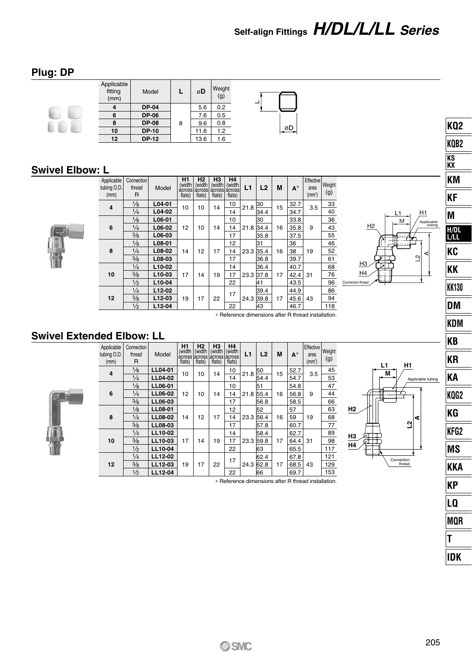# **Self-align Fittings** *H/DL/L/LL Series*

### **Plug: DP**

| Applicable<br>fitting<br>(mm) | Model        | L | øD   | Weight<br>(g) |  |
|-------------------------------|--------------|---|------|---------------|--|
|                               | <b>DP-04</b> |   | 5.6  | 0.2           |  |
| 6                             | <b>DP-06</b> |   | 7.6  | 0.5           |  |
|                               | <b>DP-08</b> | 8 | 9.6  | 0.8           |  |
| 10                            | DP-10        |   | 11.6 | 1.2           |  |
| 12                            | <b>DP-12</b> |   | 13.6 | 1.6           |  |

### **Swivel Elbow: L**

| Applicable<br>tubing O.D.<br>(mm) | Connection<br>thread<br>R | Model    | Н1<br>(width<br>flats) | H2<br>(width<br>flats) | H3<br>(width<br>flats) | H4<br>(width<br>acrossi acrossi acrossi acrossi<br>flats) | L1   | L <sub>2</sub> | M  | $A^*$ | Effective<br>area<br>(mm <sup>2</sup> ) | Weight<br>(g) |                |
|-----------------------------------|---------------------------|----------|------------------------|------------------------|------------------------|-----------------------------------------------------------|------|----------------|----|-------|-----------------------------------------|---------------|----------------|
| 4                                 | $\frac{1}{8}$             | L04-01   | 10                     | 10                     | 14                     | 10                                                        | 21.8 | 30             | 15 | 32.7  | 3.5                                     | 33            |                |
|                                   | $\frac{1}{4}$             | $L04-02$ |                        |                        |                        | 14                                                        |      | 34.4           |    | 34.7  |                                         | 40            |                |
|                                   | $\frac{1}{8}$             | L06-01   |                        |                        |                        | 10                                                        |      | 30             |    | 33.8  |                                         | 36            |                |
| 6                                 | $\frac{1}{4}$             | L06-02   | 12                     | 10                     | 14                     | 14                                                        | 21.8 | 34.4           | 16 | 35.8  | 9                                       | 43            |                |
|                                   | $\frac{3}{8}$             | L06-03   |                        |                        |                        | 17                                                        |      | 35.8           |    | 37.5  |                                         | 55            |                |
|                                   | $\frac{1}{8}$             | L08-01   |                        |                        |                        | 12                                                        |      | 31             |    | 36    |                                         | 46            |                |
| 8                                 | $\frac{1}{4}$             | L08-02   | 14                     | 12                     | 17                     | 14                                                        | 23.3 | 35.4           | 16 | 38    | 19                                      | 52            |                |
|                                   | 3/8                       | L08-03   |                        |                        |                        | 17                                                        |      | 36.8           |    | 39.7  |                                         | 61            |                |
|                                   | $\frac{1}{4}$             | L10-02   |                        |                        |                        | 14                                                        |      | 36.4           |    | 40.7  |                                         | 68            |                |
| 10                                | 3/8                       | L10-03   | 17                     | 14                     | 19                     | 17                                                        | 23.3 | 37.8           | 17 | 42.4  | 31                                      | 76            |                |
|                                   | $\frac{1}{2}$             | L10-04   |                        |                        |                        | 22                                                        |      | 41             |    | 43.5  |                                         | 96            | $\overline{c}$ |
|                                   | $\frac{1}{4}$             | $L12-02$ |                        |                        |                        | 17                                                        |      | 39.4           |    | 44.9  |                                         | 86            |                |
| 12                                | 3/8                       | L12-03   | 19                     | 17                     | 22                     |                                                           | 24.3 | 39.8           | 17 | 45.6  | 43                                      | 94            |                |
|                                   | $\frac{1}{2}$             | L12-04   |                        |                        |                        | 22                                                        |      | 43             |    | 46.7  |                                         | 118           |                |



**L1 M**

**H2**

**H3 H4** **L2 A**

Connection thread

**H1**

Applicable tubing

∗ Reference dimensions after R thread installation.

øD

### **Swivel Extended Elbow: LL**

| ٠<br>٠<br>٠<br>Ξ<br>٠<br>۰<br>ı<br>٠<br>i<br>ı |
|------------------------------------------------|

| Applicable<br>tubing O.D.<br>(mm) | Connection<br>thread<br>R | Model   | H1<br>(width<br>across lacross lacross lacross<br>flats) | H <sub>2</sub><br>(width<br>flats) | H <sub>3</sub><br>(width<br>flats) | H4<br>(width<br>flats) | L1   | L <sub>2</sub> | M    | $A^*$ | Effective<br>area<br>(mm <sup>2</sup> ) | Weight<br>(g) |
|-----------------------------------|---------------------------|---------|----------------------------------------------------------|------------------------------------|------------------------------------|------------------------|------|----------------|------|-------|-----------------------------------------|---------------|
| 4                                 | $\frac{1}{8}$             | LL04-01 | 10                                                       | 10                                 | 14                                 | 10                     | 21.8 | 50             | 15   | 52.7  | 3.5                                     | 45            |
|                                   | $\frac{1}{4}$             | LL04-02 |                                                          |                                    |                                    | 14                     |      | 54.4           |      | 54.7  |                                         | 53            |
|                                   | $\frac{1}{8}$             | LL06-01 |                                                          |                                    |                                    | 10                     |      | 51             |      | 54.8  |                                         | 47            |
| 6                                 | $\frac{1}{4}$             | LL06-02 | 12                                                       | 10                                 | 14                                 | 14                     | 21.8 | 55.4           | 16   | 56.8  | 9                                       | 44            |
|                                   | $\frac{3}{8}$             | LL06-03 |                                                          |                                    |                                    | 17                     |      | 56.8           |      | 58.5  |                                         | 66            |
|                                   | $\frac{1}{8}$             | LL08-01 |                                                          |                                    |                                    | 12                     |      | 52             |      | 57    |                                         | 63            |
| 8                                 | $\frac{1}{4}$             | LL08-02 | 14                                                       | 12                                 | 17                                 | 14                     | 23.3 | 56.4           | 16   | 59    | 19                                      | 68            |
|                                   | 3/8                       | LL08-03 |                                                          |                                    |                                    | 17                     |      | 57.8           |      | 60.7  |                                         | 77            |
|                                   | $\frac{1}{4}$             | LL10-02 |                                                          |                                    |                                    | 14                     |      | 58.4           |      | 62.7  |                                         | 89            |
| 10                                | 3/8                       | LL10-03 | 17                                                       | 14                                 | 19                                 | 17                     | 23.3 | 59.8           | 17   | 64.4  | 31                                      | 98            |
|                                   | $\frac{1}{2}$             | LL10-04 |                                                          |                                    | 22                                 |                        | 63   |                | 65.5 |       | 117                                     |               |
|                                   | $\frac{1}{4}$             | LL12-02 |                                                          |                                    |                                    | 17                     |      | 62.4           |      | 67.8  |                                         | 121           |
| 12                                | 3/8                       | LL12-03 | 19                                                       | 17                                 | 22                                 |                        | 24.3 | 62.8           | 17   | 68.5  | 43                                      | 129           |
|                                   | $\frac{1}{2}$             | LL12-04 |                                                          |                                    |                                    | 22                     |      | 66             |      | 69.7  |                                         | 153           |

∗ Reference dimensions after R thread installation.



**KQ2 KQB2 KS KX KM KF**